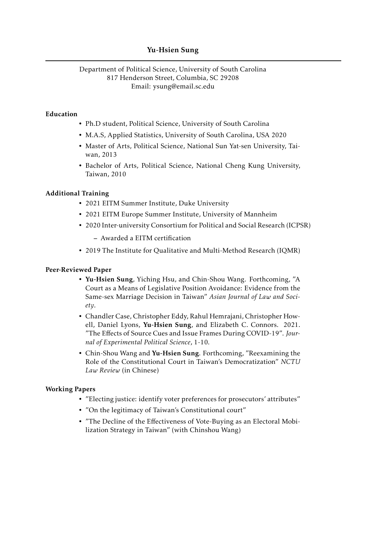# Yu-Hsien Sung

### Department of Political Science, University of South Carolina 817 Henderson Street, Columbia, SC 29208 Email: [ysung@email.sc.edu](mailto:ysung@email.sc.edu)

### Education

- Ph.D student, Political Science, University of South Carolina
- M.A.S, Applied Statistics, University of South Carolina, USA 2020
- Master of Arts, Political Science, National Sun Yat-sen University, Taiwan, 2013
- Bachelor of Arts, Political Science, National Cheng Kung University, Taiwan, 2010

#### Additional Training

- 2021 EITM Summer Institute, Duke University
- 2021 EITM Europe Summer Institute, University of Mannheim
- 2020 Inter-university Consortium for Political and Social Research (ICPSR)
	- Awarded a EITM certification
- 2019 The Institute for Qualitative and Multi-Method Research (IQMR)

#### Peer-Reviewed Paper

- Yu-Hsien Sung, Yiching Hsu, and Chin-Shou Wang. Forthcoming, "A Court as a Means of Legislative Position Avoidance: Evidence from the Same-sex Marriage Decision in Taiwan" *Asian Journal of Law and Society*.
- Chandler Case, Christopher Eddy, Rahul Hemrajani, Christopher Howell, Daniel Lyons, Yu-Hsien Sung, and Elizabeth C. Connors. 2021. "The Effects of Source Cues and Issue Frames During COVID-19". *Journal of Experimental Political Science*, 1-10.
- Chin-Shou Wang and Yu-Hsien Sung. Forthcoming, "Reexamining the Role of the Constitutional Court in Taiwan's Democratization" *NCTU Law Review* (in Chinese)

#### Working Papers

- "Electing justice: identify voter preferences for prosecutors' attributes"
- "On the legitimacy of Taiwan's Constitutional court"
- "The Decline of the Effectiveness of Vote-Buying as an Electoral Mobilization Strategy in Taiwan" (with Chinshou Wang)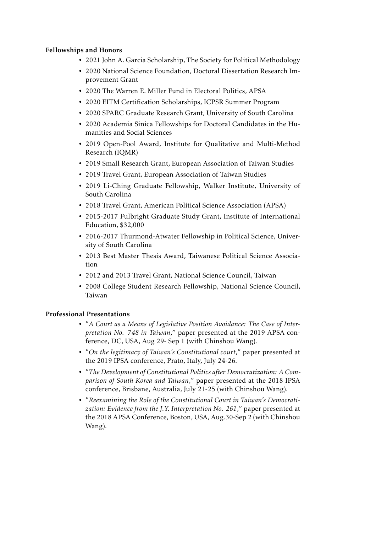## Fellowships and Honors

- 2021 John A. Garcia Scholarship, The Society for Political Methodology
- 2020 National Science Foundation, Doctoral Dissertation Research Improvement Grant
- 2020 The Warren E. Miller Fund in Electoral Politics, APSA
- 2020 EITM Certification Scholarships, ICPSR Summer Program
- 2020 SPARC Graduate Research Grant, University of South Carolina
- 2020 Academia Sinica Fellowships for Doctoral Candidates in the Humanities and Social Sciences
- 2019 Open-Pool Award, Institute for Qualitative and Multi-Method Research (IQMR)
- 2019 Small Research Grant, European Association of Taiwan Studies
- 2019 Travel Grant, European Association of Taiwan Studies
- 2019 Li-Ching Graduate Fellowship, Walker Institute, University of South Carolina
- 2018 Travel Grant, American Political Science Association (APSA)
- 2015-2017 Fulbright Graduate Study Grant, Institute of International Education, \$32,000
- 2016-2017 Thurmond-Atwater Fellowship in Political Science, University of South Carolina
- 2013 Best Master Thesis Award, Taiwanese Political Science Association
- 2012 and 2013 Travel Grant, National Science Council, Taiwan
- 2008 College Student Research Fellowship, National Science Council, Taiwan

#### Professional Presentations

- "*A Court as a Means of Legislative Position Avoidance: The Case of Interpretation No. 748 in Taiwan*," paper presented at the 2019 APSA conference, DC, USA, Aug 29- Sep 1 (with Chinshou Wang).
- "*On the legitimacy of Taiwan's Constitutional court*," paper presented at the 2019 IPSA conference, Prato, Italy, July 24-26.
- "*The Development of Constitutional Politics after Democratization: A Comparison of South Korea and Taiwan*," paper presented at the 2018 IPSA conference, Brisbane, Australia, July 21-25 (with Chinshou Wang).
- "*Reexamining the Role of the Constitutional Court in Taiwan's Democratization: Evidence from the J.Y. Interpretation No. 261*," paper presented at the 2018 APSA Conference, Boston, USA, Aug.30-Sep 2 (with Chinshou Wang).